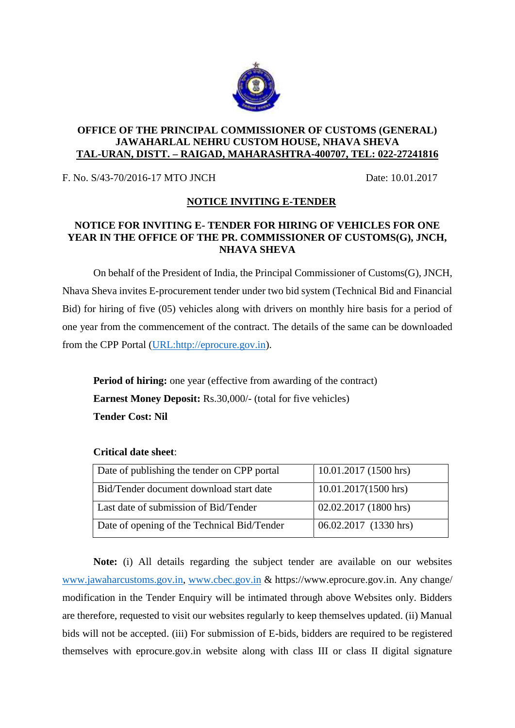

## **OFFICE OF THE PRINCIPAL COMMISSIONER OF CUSTOMS (GENERAL) JAWAHARLAL NEHRU CUSTOM HOUSE, NHAVA SHEVA TAL-URAN, DISTT. – RAIGAD, MAHARASHTRA-400707, TEL: 022-27241816**

F. No. S/43-70/2016-17 MTO JNCH Date: 10.01.2017

## **NOTICE INVITING E-TENDER**

## **NOTICE FOR INVITING E- TENDER FOR HIRING OF VEHICLES FOR ONE YEAR IN THE OFFICE OF THE PR. COMMISSIONER OF CUSTOMS(G), JNCH, NHAVA SHEVA**

On behalf of the President of India, the Principal Commissioner of Customs(G), JNCH, Nhava Sheva invites E-procurement tender under two bid system (Technical Bid and Financial Bid) for hiring of five (05) vehicles along with drivers on monthly hire basis for a period of one year from the commencement of the contract. The details of the same can be downloaded from the CPP Portal (URL:http://eprocure.gov.in).

**Period of hiring:** one year (effective from awarding of the contract) **Earnest Money Deposit:** Rs.30,000/- (total for five vehicles) **Tender Cost: Nil**

| Date of publishing the tender on CPP portal | 10.01.2017 (1500 hrs)  |
|---------------------------------------------|------------------------|
| Bid/Tender document download start date     | $10.01.2017(1500$ hrs) |
| Last date of submission of Bid/Tender       | 02.02.2017 (1800 hrs)  |
| Date of opening of the Technical Bid/Tender | 06.02.2017 (1330 hrs)  |

## **Critical date sheet**:

**Note:** (i) All details regarding the subject tender are available on our websites www.jawaharcustoms.gov.in, www.cbec.gov.in & https://www.eprocure.gov.in. Any change/ modification in the Tender Enquiry will be intimated through above Websites only. Bidders are therefore, requested to visit our websites regularly to keep themselves updated. (ii) Manual bids will not be accepted. (iii) For submission of E-bids, bidders are required to be registered themselves with eprocure.gov.in website along with class III or class II digital signature